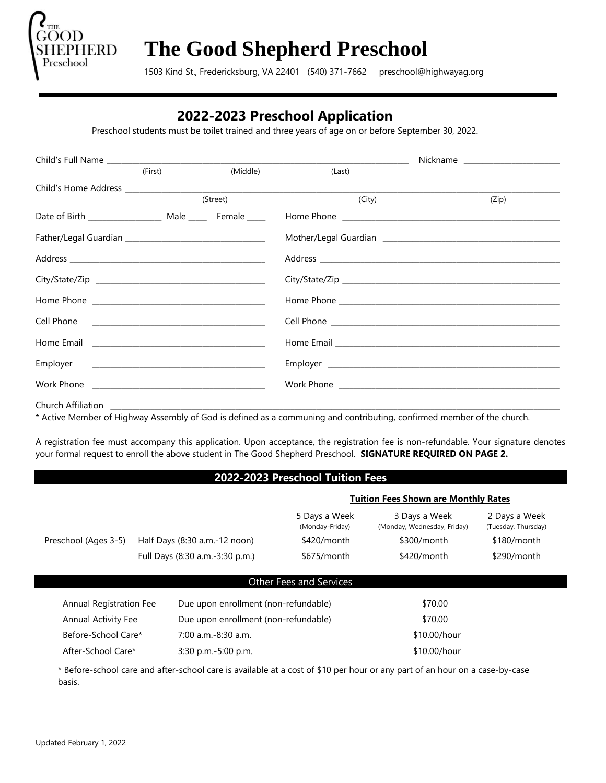

# **The Good Shepherd Preschool**

1503 Kind St., Fredericksburg, VA 22401(540) 371-7662 preschool@highwayag.org

# **2022-2023 Preschool Application**

Preschool students must be toilet trained and three years of age on or before September 30, 2022.

|                    |         |          |        | Nickname _________________________ |
|--------------------|---------|----------|--------|------------------------------------|
|                    | (First) | (Middle) | (Last) |                                    |
|                    |         |          |        |                                    |
|                    |         | (Street) | (City) | (Zip)                              |
|                    |         |          |        |                                    |
|                    |         |          |        |                                    |
|                    |         |          |        |                                    |
|                    |         |          |        |                                    |
|                    |         |          |        |                                    |
|                    |         |          |        |                                    |
|                    |         |          |        |                                    |
|                    |         |          |        |                                    |
|                    |         |          |        |                                    |
| Church Affiliation |         |          |        |                                    |

\* Active Member of Highway Assembly of God is defined as a communing and contributing, confirmed member of the church.

A registration fee must accompany this application. Upon acceptance, the registration fee is non-refundable. Your signature denotes your formal request to enroll the above student in The Good Shepherd Preschool. **SIGNATURE REQUIRED ON PAGE 2.**

#### **2022-2023 Preschool Tuition Fees**

|                            |                                      |                                      | <b>Tuition Fees Shown are Monthly Rates</b>  |                                      |  |  |
|----------------------------|--------------------------------------|--------------------------------------|----------------------------------------------|--------------------------------------|--|--|
|                            |                                      | 5 Days a Week<br>(Monday-Friday)     | 3 Days a Week<br>(Monday, Wednesday, Friday) | 2 Days a Week<br>(Tuesday, Thursday) |  |  |
| Preschool (Ages 3-5)       | Half Days (8:30 a.m.-12 noon)        | \$420/month                          | \$300/month                                  | $$180/m$ onth                        |  |  |
|                            | Full Days (8:30 a.m.-3:30 p.m.)      | $$675/m$ onth                        | \$420/month                                  | \$290/month                          |  |  |
|                            |                                      |                                      |                                              |                                      |  |  |
|                            | <b>Other Fees and Services</b>       |                                      |                                              |                                      |  |  |
| Annual Registration Fee    | Due upon enrollment (non-refundable) |                                      | \$70.00                                      |                                      |  |  |
| <b>Annual Activity Fee</b> |                                      | Due upon enrollment (non-refundable) |                                              |                                      |  |  |
| Before-School Care*        | $7:00$ a.m.-8:30 a.m.                |                                      |                                              |                                      |  |  |
| After-School Care*         | $3:30$ p.m. $-5:00$ p.m.             |                                      | \$10.00/hour                                 |                                      |  |  |

\* Before-school care and after-school care is available at a cost of \$10 per hour or any part of an hour on a case-by-case basis.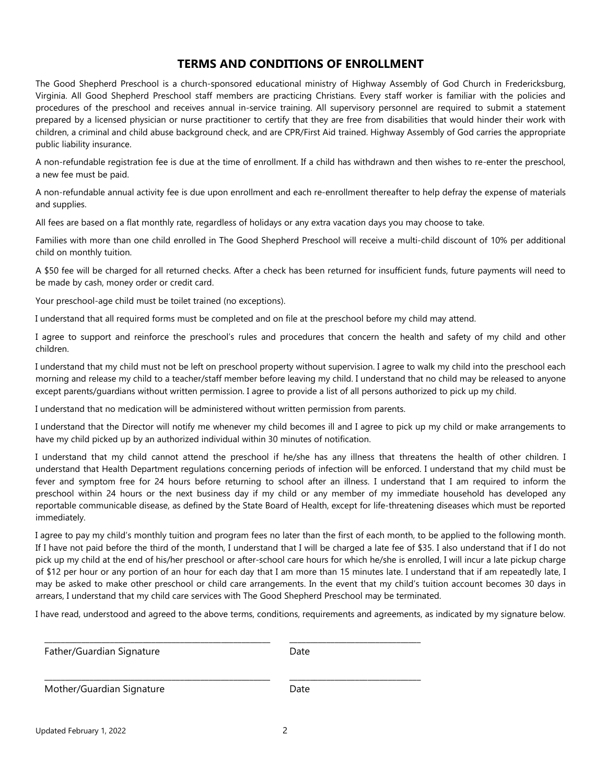#### **TERMS AND CONDITIONS OF ENROLLMENT**

The Good Shepherd Preschool is a church-sponsored educational ministry of Highway Assembly of God Church in Fredericksburg, Virginia. All Good Shepherd Preschool staff members are practicing Christians. Every staff worker is familiar with the policies and procedures of the preschool and receives annual in-service training. All supervisory personnel are required to submit a statement prepared by a licensed physician or nurse practitioner to certify that they are free from disabilities that would hinder their work with children, a criminal and child abuse background check, and are CPR/First Aid trained. Highway Assembly of God carries the appropriate public liability insurance.

A non-refundable registration fee is due at the time of enrollment. If a child has withdrawn and then wishes to re-enter the preschool, a new fee must be paid.

A non-refundable annual activity fee is due upon enrollment and each re-enrollment thereafter to help defray the expense of materials and supplies.

All fees are based on a flat monthly rate, regardless of holidays or any extra vacation days you may choose to take.

Families with more than one child enrolled in The Good Shepherd Preschool will receive a multi-child discount of 10% per additional child on monthly tuition.

A \$50 fee will be charged for all returned checks. After a check has been returned for insufficient funds, future payments will need to be made by cash, money order or credit card.

Your preschool-age child must be toilet trained (no exceptions).

I understand that all required forms must be completed and on file at the preschool before my child may attend.

I agree to support and reinforce the preschool's rules and procedures that concern the health and safety of my child and other children.

I understand that my child must not be left on preschool property without supervision. I agree to walk my child into the preschool each morning and release my child to a teacher/staff member before leaving my child. I understand that no child may be released to anyone except parents/guardians without written permission. I agree to provide a list of all persons authorized to pick up my child.

I understand that no medication will be administered without written permission from parents.

I understand that the Director will notify me whenever my child becomes ill and I agree to pick up my child or make arrangements to have my child picked up by an authorized individual within 30 minutes of notification.

I understand that my child cannot attend the preschool if he/she has any illness that threatens the health of other children. I understand that Health Department regulations concerning periods of infection will be enforced. I understand that my child must be fever and symptom free for 24 hours before returning to school after an illness. I understand that I am required to inform the preschool within 24 hours or the next business day if my child or any member of my immediate household has developed any reportable communicable disease, as defined by the State Board of Health, except for life-threatening diseases which must be reported immediately.

I agree to pay my child's monthly tuition and program fees no later than the first of each month, to be applied to the following month. If I have not paid before the third of the month, I understand that I will be charged a late fee of \$35. I also understand that if I do not pick up my child at the end of his/her preschool or after-school care hours for which he/she is enrolled, I will incur a late pickup charge of \$12 per hour or any portion of an hour for each day that I am more than 15 minutes late. I understand that if am repeatedly late, I may be asked to make other preschool or child care arrangements. In the event that my child's tuition account becomes 30 days in arrears, I understand that my child care services with The Good Shepherd Preschool may be terminated.

I have read, understood and agreed to the above terms, conditions, requirements and agreements, as indicated by my signature below.

| Father/Guardian Signature | Date |  |
|---------------------------|------|--|
| Mother/Guardian Signature | Date |  |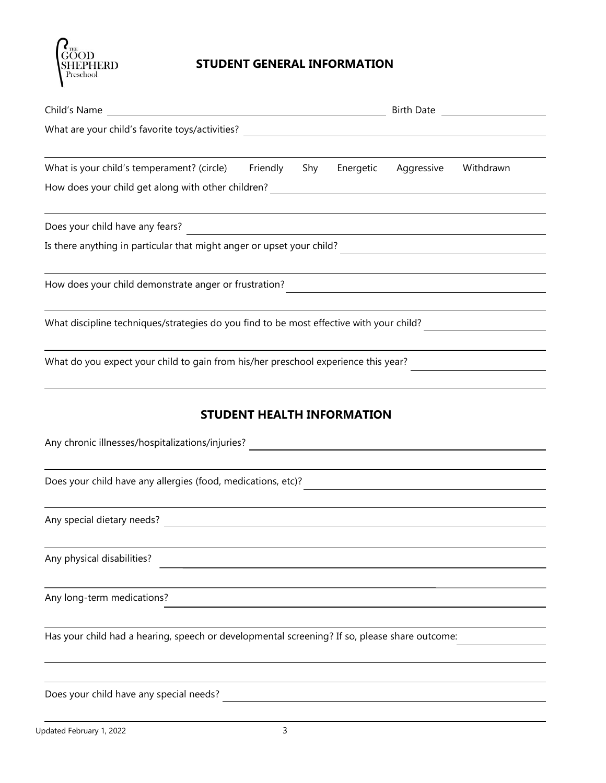

# **STUDENT GENERAL INFORMATION**

| Child's Name<br><u> 1989 - Johann Barn, mars ann an t-Amhain Aonaich an t-Aonaich an t-Aonaich ann an t-Aonaich ann an t-Aonaich</u> |  |     | Birth Date and the state of the state of the state of the state of the state of the state of the state of the |                                               |           |
|--------------------------------------------------------------------------------------------------------------------------------------|--|-----|---------------------------------------------------------------------------------------------------------------|-----------------------------------------------|-----------|
| What are your child's favorite toys/activities?                                                                                      |  |     |                                                                                                               |                                               |           |
|                                                                                                                                      |  |     |                                                                                                               |                                               |           |
| What is your child's temperament? (circle) Friendly                                                                                  |  | Shy | Energetic                                                                                                     | Aggressive                                    | Withdrawn |
|                                                                                                                                      |  |     |                                                                                                               |                                               |           |
| Does your child have any fears?                                                                                                      |  |     |                                                                                                               | <u> 1980 - Andrea Andrew Maria (h. 1980).</u> |           |
| Is there anything in particular that might anger or upset your child?                                                                |  |     |                                                                                                               |                                               |           |
| How does your child demonstrate anger or frustration?                                                                                |  |     |                                                                                                               |                                               |           |
|                                                                                                                                      |  |     |                                                                                                               |                                               |           |
| What do you expect your child to gain from his/her preschool experience this year?                                                   |  |     |                                                                                                               |                                               |           |
|                                                                                                                                      |  |     | <b>STUDENT HEALTH INFORMATION</b>                                                                             |                                               |           |
| Any chronic illnesses/hospitalizations/injuries?                                                                                     |  |     |                                                                                                               |                                               |           |
| Does your child have any allergies (food, medications, etc)?                                                                         |  |     |                                                                                                               |                                               |           |

Any special dietary needs?

Any physical disabilities?

Any long-term medications?

Has your child had a hearing, speech or developmental screening? If so, please share outcome:

Does your child have any special needs?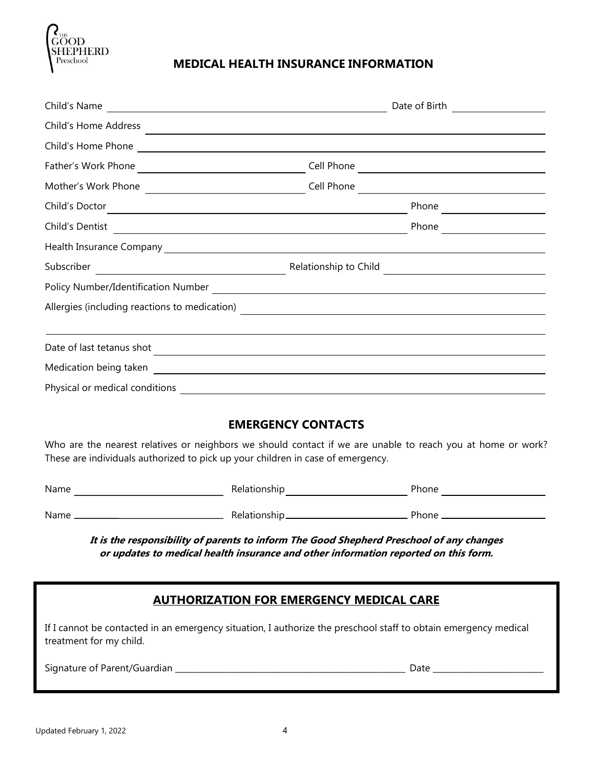

# **MEDICAL HEALTH INSURANCE INFORMATION**

| Child's Name<br><u> 1989 - Johann Stein, mars an deutscher Stein († 1989)</u>                                                           |                                                                                                                      | Date of Birth                                                                                                         |
|-----------------------------------------------------------------------------------------------------------------------------------------|----------------------------------------------------------------------------------------------------------------------|-----------------------------------------------------------------------------------------------------------------------|
| Child's Home Address                                                                                                                    |                                                                                                                      |                                                                                                                       |
| Child's Home Phone                                                                                                                      |                                                                                                                      |                                                                                                                       |
| Father's Work Phone                                                                                                                     | Cell Phone                                                                                                           | <u> 1989 - Johann Stein, mars and de Branch and de Branch and de Branch and de Branch and de Branch and de Branch</u> |
| Mother's Work Phone                                                                                                                     | Cell Phone                                                                                                           | <u> 1989 - Johann Stein, mars and de Branch and de Branch and de Branch and de Branch and de Branch and de Branch</u> |
| Child's Doctor                                                                                                                          |                                                                                                                      | Phone                                                                                                                 |
| Child's Dentist<br><u> 1989 - Johann John Stone, markin film yn y brening yn y brening yn y brening y brening yn y brening y brenin</u> |                                                                                                                      | Phone                                                                                                                 |
| Health Insurance Company <b>Exercise Company</b>                                                                                        |                                                                                                                      |                                                                                                                       |
| Subscriber                                                                                                                              | Relationship to Child                                                                                                |                                                                                                                       |
|                                                                                                                                         |                                                                                                                      |                                                                                                                       |
| Allergies (including reactions to medication)                                                                                           | <u> 1989 - Johann Barn, fransk politik (d. 1989)</u>                                                                 |                                                                                                                       |
|                                                                                                                                         |                                                                                                                      |                                                                                                                       |
| Date of last tetanus shot                                                                                                               |                                                                                                                      |                                                                                                                       |
| Medication being taken                                                                                                                  | <u> 1980 - Jan Stein Stein Stein Stein Stein Stein Stein Stein Stein Stein Stein Stein Stein Stein Stein Stein S</u> |                                                                                                                       |
| Physical or medical conditions                                                                                                          |                                                                                                                      |                                                                                                                       |

# **EMERGENCY CONTACTS**

Who are the nearest relatives or neighbors we should contact if we are unable to reach you at home or work? These are individuals authorized to pick up your children in case of emergency.

| Name | Relationship  | Phone |
|------|---------------|-------|
|      |               |       |
| Name | Relationship. | Phone |

**It is the responsibility of parents to inform The Good Shepherd Preschool of any changes or updates to medical health insurance and other information reported on this form.**

#### **AUTHORIZATION FOR EMERGENCY MEDICAL CARE**

If I cannot be contacted in an emergency situation, I authorize the preschool staff to obtain emergency medical treatment for my child.

Signature of Parent/Guardian \_\_\_\_\_\_\_\_\_\_\_\_\_\_\_\_\_\_\_\_\_\_\_\_\_\_\_\_\_\_\_\_\_\_\_\_\_\_\_\_\_\_\_\_\_\_\_\_\_\_\_\_\_\_\_\_ Date \_\_\_\_\_\_\_\_\_\_\_\_\_\_\_\_\_\_\_\_\_\_\_\_\_\_\_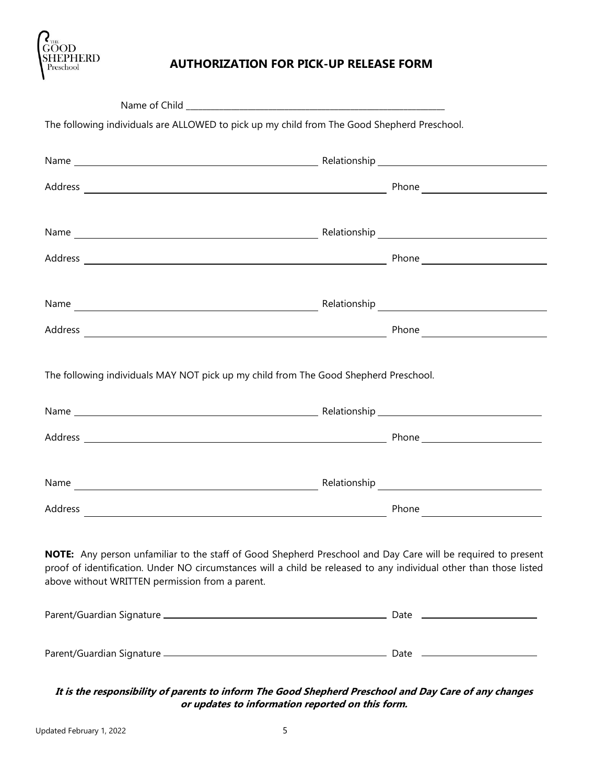

# **AUTHORIZATION FOR PICK-UP RELEASE FORM**

| The following individuals are ALLOWED to pick up my child from The Good Shepherd Preschool.                                                                                                                                                                                           |  |
|---------------------------------------------------------------------------------------------------------------------------------------------------------------------------------------------------------------------------------------------------------------------------------------|--|
|                                                                                                                                                                                                                                                                                       |  |
|                                                                                                                                                                                                                                                                                       |  |
|                                                                                                                                                                                                                                                                                       |  |
|                                                                                                                                                                                                                                                                                       |  |
|                                                                                                                                                                                                                                                                                       |  |
|                                                                                                                                                                                                                                                                                       |  |
|                                                                                                                                                                                                                                                                                       |  |
|                                                                                                                                                                                                                                                                                       |  |
| The following individuals MAY NOT pick up my child from The Good Shepherd Preschool.                                                                                                                                                                                                  |  |
|                                                                                                                                                                                                                                                                                       |  |
|                                                                                                                                                                                                                                                                                       |  |
|                                                                                                                                                                                                                                                                                       |  |
|                                                                                                                                                                                                                                                                                       |  |
| NOTE: Any person unfamiliar to the staff of Good Shepherd Preschool and Day Care will be required to present<br>proof of identification. Under NO circumstances will a child be released to any individual other than those listed<br>above without WRITTEN permission from a parent. |  |
|                                                                                                                                                                                                                                                                                       |  |
|                                                                                                                                                                                                                                                                                       |  |

**It is the responsibility of parents to inform The Good Shepherd Preschool and Day Care of any changes or updates to information reported on this form.**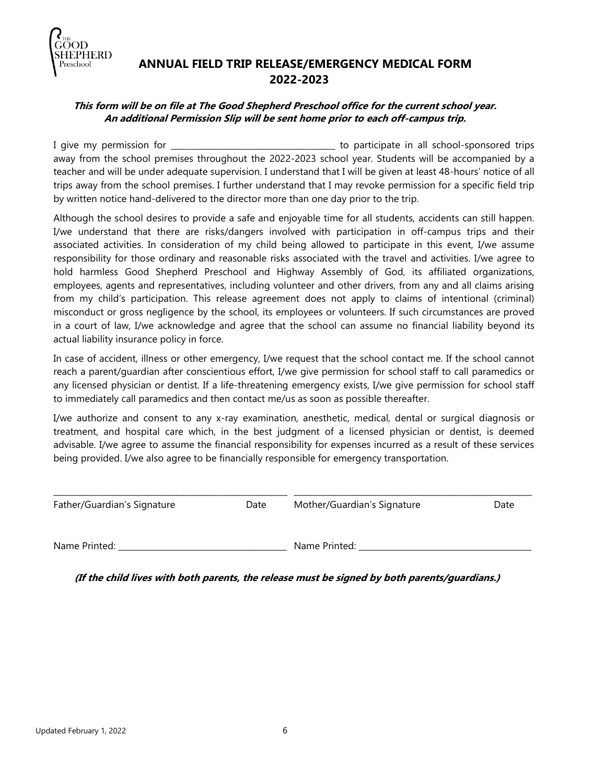

# **ANNUAL FIELD TRIP RELEASE/EMERGENCY MEDICAL FORM 2022-2023**

#### **This form will be on file at The Good Shepherd Preschool office for the current school year. An additional Permission Slip will be sent home prior to each off-campus trip.**

I give my permission for \_\_\_\_\_\_\_\_\_\_\_\_\_\_\_\_\_\_\_\_\_\_\_\_\_\_\_\_\_\_\_\_\_\_\_\_\_\_\_\_ to participate in all school-sponsored trips away from the school premises throughout the 2022-2023 school year. Students will be accompanied by a teacher and will be under adequate supervision. I understand that I will be given at least 48-hours' notice of all trips away from the school premises. I further understand that I may revoke permission for a specific field trip by written notice hand-delivered to the director more than one day prior to the trip.

Although the school desires to provide a safe and enjoyable time for all students, accidents can still happen. I/we understand that there are risks/dangers involved with participation in off-campus trips and their associated activities. In consideration of my child being allowed to participate in this event, I/we assume responsibility for those ordinary and reasonable risks associated with the travel and activities. I/we agree to hold harmless Good Shepherd Preschool and Highway Assembly of God, its affiliated organizations, employees, agents and representatives, including volunteer and other drivers, from any and all claims arising from my child's participation. This release agreement does not apply to claims of intentional (criminal) misconduct or gross negligence by the school, its employees or volunteers. If such circumstances are proved in a court of law, I/we acknowledge and agree that the school can assume no financial liability beyond its actual liability insurance policy in force.

In case of accident, illness or other emergency, I/we request that the school contact me. If the school cannot reach a parent/guardian after conscientious effort, I/we give permission for school staff to call paramedics or any licensed physician or dentist. If a life-threatening emergency exists, I/we give permission for school staff to immediately call paramedics and then contact me/us as soon as possible thereafter.

I/we authorize and consent to any x-ray examination, anesthetic, medical, dental or surgical diagnosis or treatment, and hospital care which, in the best judgment of a licensed physician or dentist, is deemed advisable. I/we agree to assume the financial responsibility for expenses incurred as a result of these services being provided. I/we also agree to be financially responsible for emergency transportation.

| Father/Guardian's Signature | Date | Mother/Guardian's Signature | Date |
|-----------------------------|------|-----------------------------|------|
| Name Printed:               |      | Name Printed:               |      |

\_\_\_\_\_\_\_\_\_\_\_\_\_\_\_\_\_\_\_\_\_\_\_\_\_\_\_\_\_\_\_\_\_\_\_\_\_\_\_\_\_\_\_\_\_\_\_\_\_\_\_\_\_\_\_\_\_ \_\_\_\_\_\_\_\_\_\_\_\_\_\_\_\_\_\_\_\_\_\_\_\_\_\_\_\_\_\_\_\_\_\_\_\_\_\_\_\_\_\_\_\_\_\_\_\_\_\_\_\_\_\_\_\_\_\_

**(If the child lives with both parents, the release must be signed by both parents/guardians.)**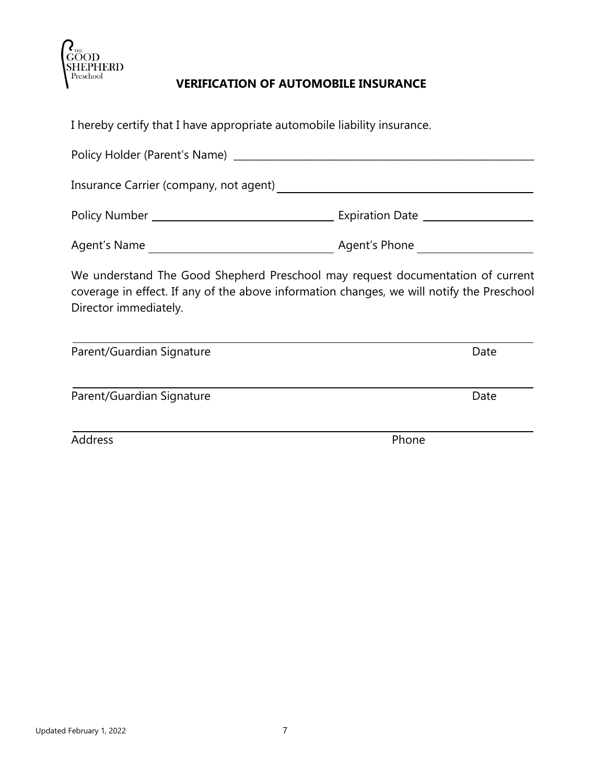

# **VERIFICATION OF AUTOMOBILE INSURANCE**

I hereby certify that I have appropriate automobile liability insurance. Policy Holder (Parent's Name) \_\_\_\_\_\_\_\_\_\_\_\_\_\_\_\_\_\_\_\_\_\_\_\_\_\_\_\_\_\_\_\_\_\_\_\_\_\_\_\_\_\_\_\_\_\_\_\_\_\_\_\_\_\_\_\_\_\_\_\_\_ Insurance Carrier (company, not agent) Policy Number Expiration Date Agent's Name **Agent's Phone** We understand The Good Shepherd Preschool may request documentation of current coverage in effect. If any of the above information changes, we will notify the Preschool Director immediately. Parent/Guardian Signature Date Date Parent/Guardian Signature Date Address Phone